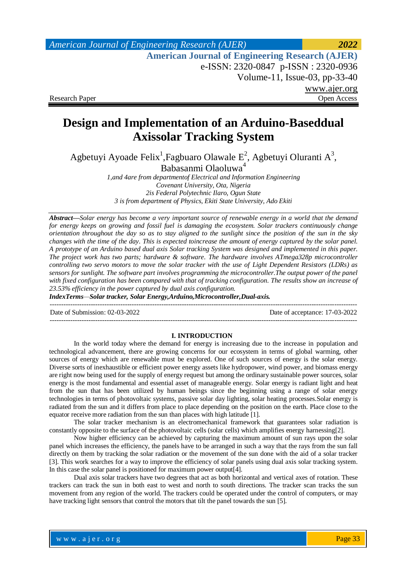## *American Journal of Engineering Research (AJER) 2022*  **American Journal of Engineering Research (AJER)** e-ISSN: 2320-0847 p-ISSN : 2320-0936 Volume-11, Issue-03, pp-33-40 www.ajer.org Research Paper **Open Access** Open Access **Open Access**

# **Design and Implementation of an Arduino-Baseddual Axissolar Tracking System**

Agbetuyi Ayoade Felix<sup>1</sup>, Fagbuaro Olawale E<sup>2</sup>, Agbetuyi Oluranti A<sup>3</sup>, Babasanmi Olaoluwa<sup>4</sup>

> *1,and 4are from departmentof Electrical and Information Engineering Covenant University, Ota, Nigeria 2is Federal Polytechnic Ilaro, Ogun State 3 is from department of Physics, Ekiti State University, Ado Ekiti*

*Abstract—Solar energy has become a very important source of renewable energy in a world that the demand for energy keeps on growing and fossil fuel is damaging the ecosystem. Solar trackers continuously change orientation throughout the day so as to stay aligned to the sunlight since the position of the sun in the sky changes with the time of the day. This is expected toincrease the amount of energy captured by the solar panel. A prototype of an Arduino based dual axis Solar tracking System was designed and implemented in this paper. The project work has two parts; hardware & software. The hardware involves ATmega328p microcontroller controlling two servo motors to move the solar tracker with the use of Light Dependent Resistors (LDRs) as sensors for sunlight. The software part involves programming the microcontroller.The output power of the panel with fixed configuration has been compared with that of tracking configuration. The results show an increase of 23.53% efficiency in the power captured by dual axis configuration.*

*IndexTerms—Solar tracker, Solar Energy,Arduino,Microcontroller,Dual-axis.*

--------------------------------------------------------------------------------------------------------------------------------------- Date of Submission: 02-03-2022 Date of acceptance: 17-03-2022

## **I. INTRODUCTION**

---------------------------------------------------------------------------------------------------------------------------------------

In the world today where the demand for energy is increasing due to the increase in population and technological advancement, there are growing concerns for our ecosystem in terms of global warming, other sources of energy which are renewable must be explored. One of such sources of energy is the solar energy. Diverse sorts of inexhaustible or efficient power energy assets like hydropower, wind power, and biomass energy are right now being used for the supply of energy request but among the ordinary sustainable power sources, solar energy is the most fundamental and essential asset of manageable energy. Solar energy is radiant light and heat from the sun that has been utilized by human beings since the beginning using a range of solar energy technologies in terms of photovoltaic systems, passive solar day lighting, solar heating processes.Solar energy is radiated from the sun and it differs from place to place depending on the position on the earth. Place close to the equator receive more radiation from the sun than places with high latitude [1].

The solar tracker mechanism is an electromechanical framework that guarantees solar radiation is constantly opposite to the surface of the photovoltaic cells (solar cells) which amplifies energy harnessing[2].

Now higher efficiency can be achieved by capturing the maximum amount of sun rays upon the solar panel which increases the efficiency, the panels have to be arranged in such a way that the rays from the sun fall directly on them by tracking the solar radiation or the movement of the sun done with the aid of a solar tracker [3]. This work searches for a way to improve the efficiency of solar panels using dual axis solar tracking system. In this case the solar panel is positioned for maximum power output[4].

Dual axis solar trackers have two degrees that act as both horizontal and vertical axes of rotation. These trackers can track the sun in both east to west and north to south directions. The tracker scan tracks the sun movement from any region of the world. The trackers could be operated under the control of computers, or may have tracking light sensors that control the motors that tilt the panel towards the sun [5].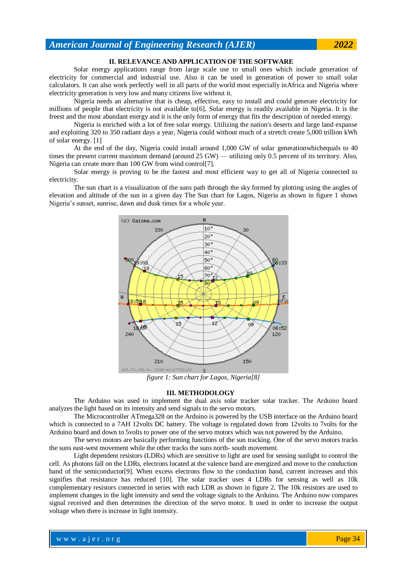## **II. RELEVANCE AND APPLICATION OF THE SOFTWARE**

Solar energy applications range from large scale use to small ones which include generation of electricity for commercial and industrial use. Also it can be used in generation of power to small solar calculators. It can also work perfectly well in all parts of the world most especially inAfrica and Nigeria where electricity generation is very low and many citizens live without it.

Nigeria needs an alternative that is cheap, effective, easy to install and could generate electricity for millions of people that electricity is not available to[6]. Solar energy is readily available in Nigeria. It is the freest and the most abundant energy and it is the only form of energy that fits the description of needed energy.

Nigeria is enriched with a lot of free solar energy. Utilizing the nation's deserts and large land expanse and exploiting 320 to 350 radiant days a year, Nigeria could without much of a stretch create 5,000 trillion kWh of solar energy. [1]

At the end of the day, Nigeria could install around 1,000 GW of solar generationwhichequals to 40 times the present current maximum demand (around 25 GW) — utilizing only 0.5 percent of its territory. Also, Nigeria can create more than 100 GW from wind control[7].

Solar energy is proving to be the fastest and most efficient way to get all of Nigeria connected to electricity.

The sun chart is a visualization of the suns path through the sky formed by plotting using the angles of elevation and altitude of the sun in a given day The Sun chart for Lagos, Nigeria as shown in figure 1 shows Nigeria's sunset, sunrise, dawn and dusk times for a whole year.



*figure 1: Sun chart for Lagos, Nigeria[8]*

### **III. METHODOLOGY**

The Arduino was used to implement the dual axis solar tracker solar tracker. The Arduino board analyzes the light based on its intensity and send signals to the servo motors.

The Microcontroller ATmega328 on the Arduino is powered by the USB interface on the Arduino board which is connected to a 7AH 12volts DC battery. The voltage is regulated down from 12volts to 7volts for the Arduino board and down to 5volts to power one of the servo motors which was not powered by the Arduino.

The servo motors are basically performing functions of the sun tracking. One of the servo motors tracks the suns east-west movement while the other tracks the suns north- south movement.

Light dependent resistors (LDRs) which are sensitive to light are used for sensing sunlight to control the cell. As photons fall on the LDRs, electrons located at the valence band are energized and move to the conduction band of the semiconductor[9]. When excess electrons flow to the conduction band, current increases and this signifies that resistance has reduced [10]. The solar tracker uses 4 LDRs for sensing as well as 10k complementary resistors connected in series with each LDR as shown in figure 2. The 10k resistors are used to implement changes in the light intensity and send the voltage signals to the Arduino. The Arduino now compares signal received and then determines the direction of the servo motor. It used in order to increase the output voltage when there is increase in light intensity.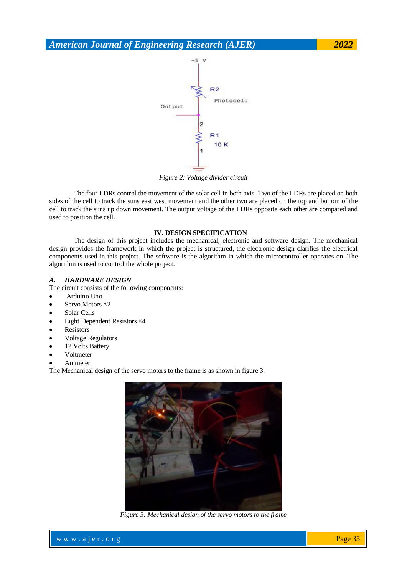

*Figure 2: Voltage divider circuit*

The four LDRs control the movement of the solar cell in both axis. Two of the LDRs are placed on both sides of the cell to track the suns east west movement and the other two are placed on the top and bottom of the cell to track the suns up down movement. The output voltage of the LDRs opposite each other are compared and used to position the cell.

## **IV. DESIGN SPECIFICATION**

The design of this project includes the mechanical, electronic and software design. The mechanical design provides the framework in which the project is structured, the electronic design clarifies the electrical components used in this project. The software is the algorithm in which the microcontroller operates on. The algorithm is used to control the whole project.

### *A. HARDWARE DESIGN*

The circuit consists of the following components:

- Arduino Uno
- Servo Motors ×2
- Solar Cells
- Light Dependent Resistors ×4
- Resistors
- Voltage Regulators
- 12 Volts Battery
- Voltmeter
- Ammeter

The Mechanical design of the servo motors to the frame is as shown in figure 3.



*Figure 3: Mechanical design of the servo motors to the frame*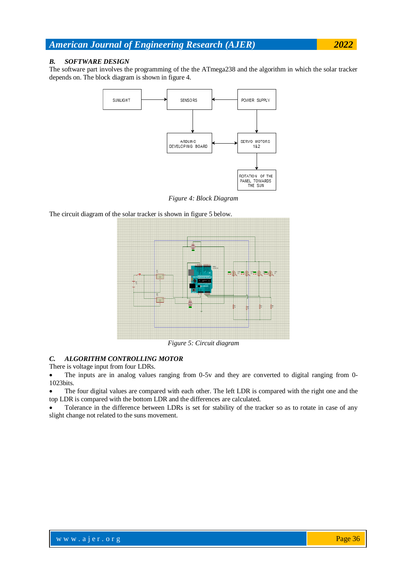## *B. SOFTWARE DESIGN*

The software part involves the programming of the the ATmega238 and the algorithm in which the solar tracker depends on. The block diagram is shown in figure 4.



*Figure 4: Block Diagram*

The circuit diagram of the solar tracker is shown in figure 5 below.



*Figure 5: Circuit diagram*

## *C. ALGORITHM CONTROLLING MOTOR*

There is voltage input from four LDRs.

 The inputs are in analog values ranging from 0-5v and they are converted to digital ranging from 0- 1023bits.

 The four digital values are compared with each other. The left LDR is compared with the right one and the top LDR is compared with the bottom LDR and the differences are calculated.

 Tolerance in the difference between LDRs is set for stability of the tracker so as to rotate in case of any slight change not related to the suns movement.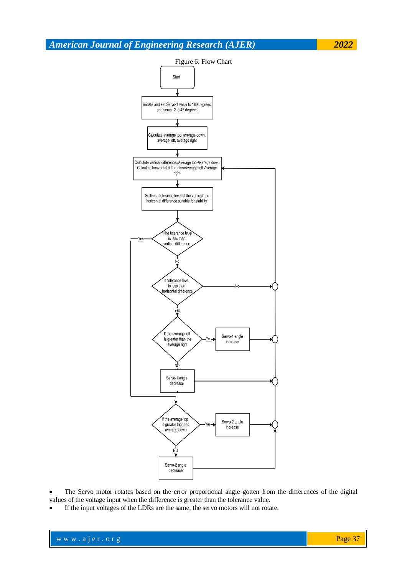

Figure 6: Flow Chart Start initiate and set Servo-1 value to 180 degrees and servo -2 to 45 degrees Calculate average top, average down average left, average right Calculate vertical difference=Average top-Average down<br>Calculate horizontal difference=Average left-Average right Setting a tolerance level of the vertical and horizontal difference suitable for stability the tolerance leve is less than ertical difference If tolerance level is less than horizontal differenc Yes If the average left Servo-1 angle is greater than the increase average right NO. Servo-1 angle decrease If the average top Servo-2 angle is greater than the increase average down ΝÒ Servo-2 angle decrease

 The Servo motor rotates based on the error proportional angle gotten from the differences of the digital values of the voltage input when the difference is greater than the tolerance value.

If the input voltages of the LDRs are the same, the servo motors will not rotate.

|  | www.ajer.org |  |
|--|--------------|--|
|--|--------------|--|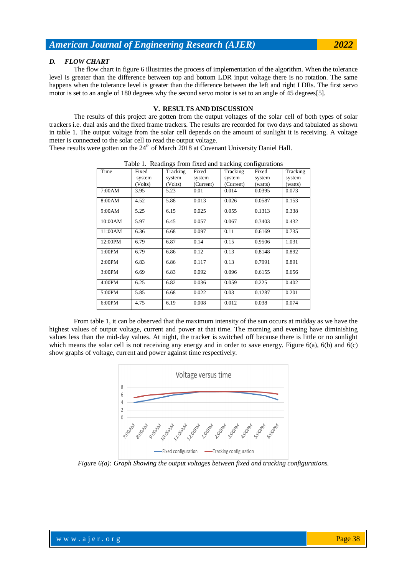#### *D. FLOW CHART*

The flow chart in figure 6 illustrates the process of implementation of the algorithm. When the tolerance level is greater than the difference between top and bottom LDR input voltage there is no rotation. The same happens when the tolerance level is greater than the difference between the left and right LDRs. The first servo motor is set to an angle of 180 degrees why the second servo motor is set to an angle of 45 degrees[5].

### **V. RESULTS AND DISCUSSION**

The results of this project are gotten from the output voltages of the solar cell of both types of solar trackers i.e. dual axis and the fixed frame trackers. The results are recorded for two days and tabulated as shown in table 1. The output voltage from the solar cell depends on the amount of sunlight it is receiving. A voltage meter is connected to the solar cell to read the output voltage.

These results were gotten on the  $24<sup>th</sup>$  of March 2018 at Covenant University Daniel Hall.

| Table 1. Readings from fixed and tracking comigurations |         |          |           |           |         |          |  |  |
|---------------------------------------------------------|---------|----------|-----------|-----------|---------|----------|--|--|
| Time                                                    | Fixed   | Tracking | Fixed     | Tracking  | Fixed   | Tracking |  |  |
|                                                         | system  | system   | system    | system    | system  | system   |  |  |
|                                                         | (Volts) | (Volts)  | (Current) | (Current) | (watts) | (watts)  |  |  |
| 7:00AM                                                  | 3.95    | 5.23     | 0.01      | 0.014     | 0.0395  | 0.073    |  |  |
| 8:00AM                                                  | 4.52    | 5.88     | 0.013     | 0.026     | 0.0587  | 0.153    |  |  |
| 9:00AM                                                  | 5.25    | 6.15     | 0.025     | 0.055     | 0.1313  | 0.338    |  |  |
| 10:00AM                                                 | 5.97    | 6.45     | 0.057     | 0.067     | 0.3403  | 0.432    |  |  |
| 11:00AM                                                 | 6.36    | 6.68     | 0.097     | 0.11      | 0.6169  | 0.735    |  |  |
| 12:00PM                                                 | 6.79    | 6.87     | 0.14      | 0.15      | 0.9506  | 1.031    |  |  |
| 1:00PM                                                  | 6.79    | 6.86     | 0.12      | 0.13      | 0.8148  | 0.892    |  |  |
| 2:00PM                                                  | 6.83    | 6.86     | 0.117     | 0.13      | 0.7991  | 0.891    |  |  |
| 3:00PM                                                  | 6.69    | 6.83     | 0.092     | 0.096     | 0.6155  | 0.656    |  |  |
| 4:00PM                                                  | 6.25    | 6.82     | 0.036     | 0.059     | 0.225   | 0.402    |  |  |
| 5:00PM                                                  | 5.85    | 6.68     | 0.022     | 0.03      | 0.1287  | 0.201    |  |  |
| 6:00PM                                                  | 4.75    | 6.19     | 0.008     | 0.012     | 0.038   | 0.074    |  |  |

Table 1. Readings from fixed and tracking configurations

From table 1, it can be observed that the maximum intensity of the sun occurs at midday as we have the highest values of output voltage, current and power at that time. The morning and evening have diminishing values less than the mid-day values. At night, the tracker is switched off because there is little or no sunlight which means the solar cell is not receiving any energy and in order to save energy. Figure 6(a), 6(b) and 6(c) show graphs of voltage, current and power against time respectively.



*Figure 6(a): Graph Showing the output voltages between fixed and tracking configurations.*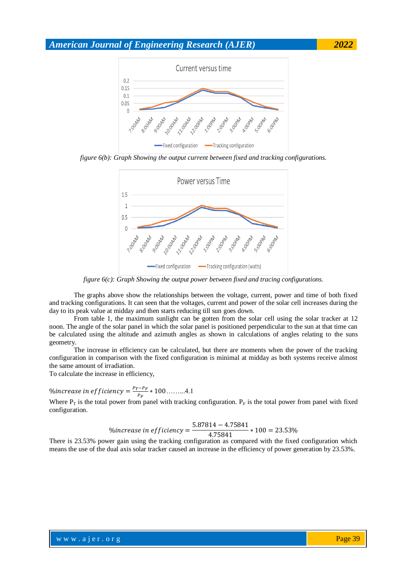

*figure 6(b): Graph Showing the output current between fixed and tracking configurations.*



*figure 6(c): Graph Showing the output power between fixed and tracing configurations.*

The graphs above show the relationships between the voltage, current, power and time of both fixed and tracking configurations. It can seen that the voltages, current and power of the solar cell increases during the day to its peak value at midday and then starts reducing till sun goes down.

From table 1, the maximum sunlight can be gotten from the solar cell using the solar tracker at 12 noon. The angle of the solar panel in which the solar panel is positioned perpendicular to the sun at that time can be calculated using the altitude and azimuth angles as shown in calculations of angles relating to the suns geometry.

The increase in efficiency can be calculated, but there are moments when the power of the tracking configuration in comparison with the fixed configuration is minimal at midday as both systems receive almost the same amount of irradiation.

To calculate the increase in efficiency,

$$
\% increase in efficiency = \frac{P_T - P_F}{P_F} * 100 \dots 4.1
$$

Where  $P_T$  is the total power from panel with tracking configuration.  $P_F$  is the total power from panel with fixed configuration.

$$
\% increase in efficiency = \frac{5.87814 - 4.75841}{4.75841} * 100 = 23.53\%
$$

There is 23.53% power gain using the tracking configuration as compared with the fixed configuration which means the use of the dual axis solar tracker caused an increase in the efficiency of power generation by 23.53%.